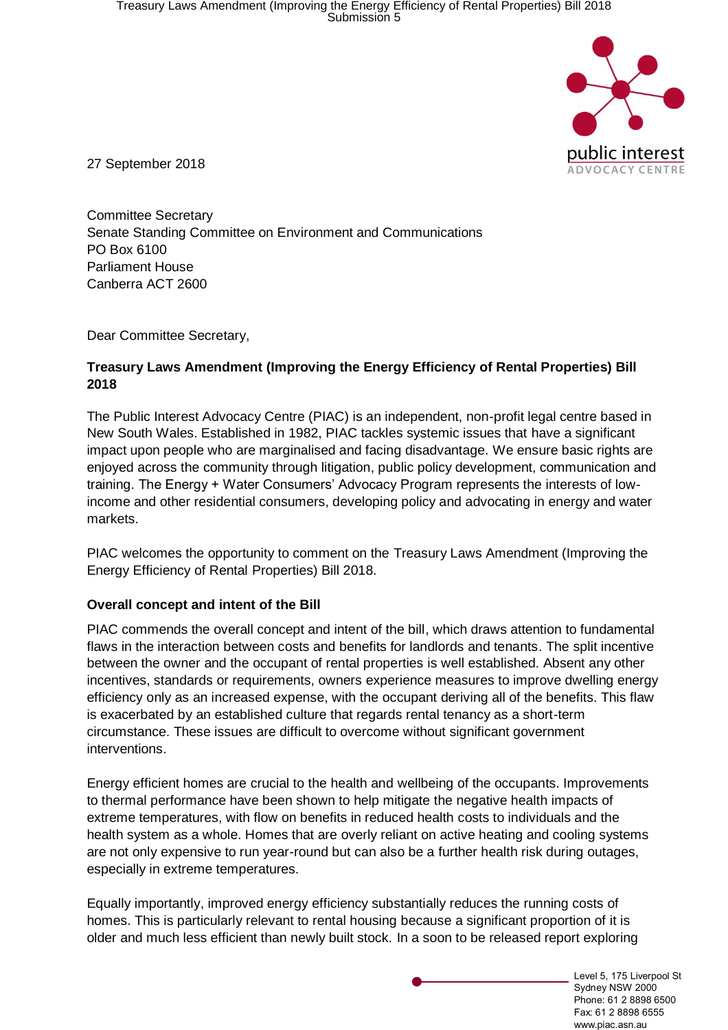

27 September 2018

Committee Secretary Senate Standing Committee on Environment and Communications PO Box 6100 Parliament House Canberra ACT 2600

Dear Committee Secretary,

#### **Treasury Laws Amendment (Improving the Energy Efficiency of Rental Properties) Bill 2018**

The Public Interest Advocacy Centre (PIAC) is an independent, non-profit legal centre based in New South Wales. Established in 1982, PIAC tackles systemic issues that have a significant impact upon people who are marginalised and facing disadvantage. We ensure basic rights are enjoyed across the community through litigation, public policy development, communication and training. The Energy + Water Consumers' Advocacy Program represents the interests of lowincome and other residential consumers, developing policy and advocating in energy and water markets.

PIAC welcomes the opportunity to comment on the Treasury Laws Amendment (Improving the Energy Efficiency of Rental Properties) Bill 2018.

#### **Overall concept and intent of the Bill**

PIAC commends the overall concept and intent of the bill, which draws attention to fundamental flaws in the interaction between costs and benefits for landlords and tenants. The split incentive between the owner and the occupant of rental properties is well established. Absent any other incentives, standards or requirements, owners experience measures to improve dwelling energy efficiency only as an increased expense, with the occupant deriving all of the benefits. This flaw is exacerbated by an established culture that regards rental tenancy as a short-term circumstance. These issues are difficult to overcome without significant government interventions.

Energy efficient homes are crucial to the health and wellbeing of the occupants. Improvements to thermal performance have been shown to help mitigate the negative health impacts of extreme temperatures, with flow on benefits in reduced health costs to individuals and the health system as a whole. Homes that are overly reliant on active heating and cooling systems are not only expensive to run year-round but can also be a further health risk during outages, especially in extreme temperatures.

Equally importantly, improved energy efficiency substantially reduces the running costs of homes. This is particularly relevant to rental housing because a significant proportion of it is older and much less efficient than newly built stock. In a soon to be released report exploring

> Level 5, 175 Liverpool St Sydney NSW 2000 Phone: 61 2 8898 6500 Fax: 61 2 8898 6555 www.piac.asn.au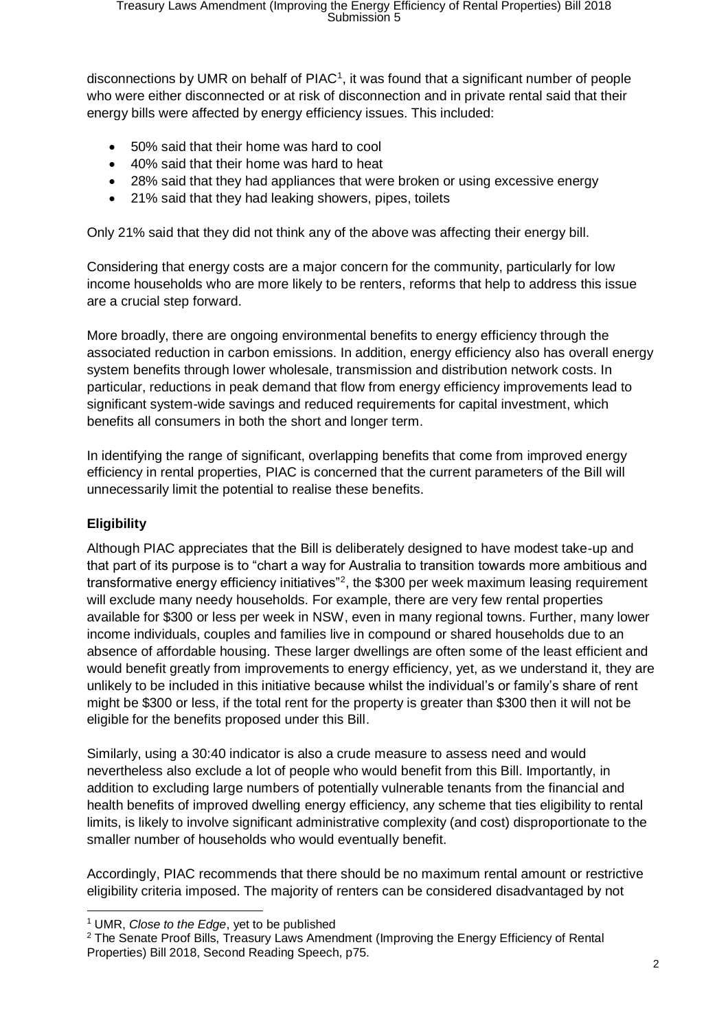disconnections by UMR on behalf of  $PIAC<sup>1</sup>$ , it was found that a significant number of people who were either disconnected or at risk of disconnection and in private rental said that their energy bills were affected by energy efficiency issues. This included:

- 50% said that their home was hard to cool
- 40% said that their home was hard to heat
- 28% said that they had appliances that were broken or using excessive energy
- 21% said that they had leaking showers, pipes, toilets

Only 21% said that they did not think any of the above was affecting their energy bill.

Considering that energy costs are a major concern for the community, particularly for low income households who are more likely to be renters, reforms that help to address this issue are a crucial step forward.

More broadly, there are ongoing environmental benefits to energy efficiency through the associated reduction in carbon emissions. In addition, energy efficiency also has overall energy system benefits through lower wholesale, transmission and distribution network costs. In particular, reductions in peak demand that flow from energy efficiency improvements lead to significant system-wide savings and reduced requirements for capital investment, which benefits all consumers in both the short and longer term.

In identifying the range of significant, overlapping benefits that come from improved energy efficiency in rental properties, PIAC is concerned that the current parameters of the Bill will unnecessarily limit the potential to realise these benefits.

### **Eligibility**

Although PIAC appreciates that the Bill is deliberately designed to have modest take-up and that part of its purpose is to "chart a way for Australia to transition towards more ambitious and transformative energy efficiency initiatives<sup>"2</sup>, the \$300 per week maximum leasing requirement will exclude many needy households. For example, there are very few rental properties available for \$300 or less per week in NSW, even in many regional towns. Further, many lower income individuals, couples and families live in compound or shared households due to an absence of affordable housing. These larger dwellings are often some of the least efficient and would benefit greatly from improvements to energy efficiency, yet, as we understand it, they are unlikely to be included in this initiative because whilst the individual's or family's share of rent might be \$300 or less, if the total rent for the property is greater than \$300 then it will not be eligible for the benefits proposed under this Bill.

Similarly, using a 30:40 indicator is also a crude measure to assess need and would nevertheless also exclude a lot of people who would benefit from this Bill. Importantly, in addition to excluding large numbers of potentially vulnerable tenants from the financial and health benefits of improved dwelling energy efficiency, any scheme that ties eligibility to rental limits, is likely to involve significant administrative complexity (and cost) disproportionate to the smaller number of households who would eventually benefit.

Accordingly, PIAC recommends that there should be no maximum rental amount or restrictive eligibility criteria imposed. The majority of renters can be considered disadvantaged by not

 <sup>1</sup> UMR, *Close to the Edge*, yet to be published

<sup>&</sup>lt;sup>2</sup> The Senate Proof Bills, Treasury Laws Amendment (Improving the Energy Efficiency of Rental Properties) Bill 2018, Second Reading Speech, p75.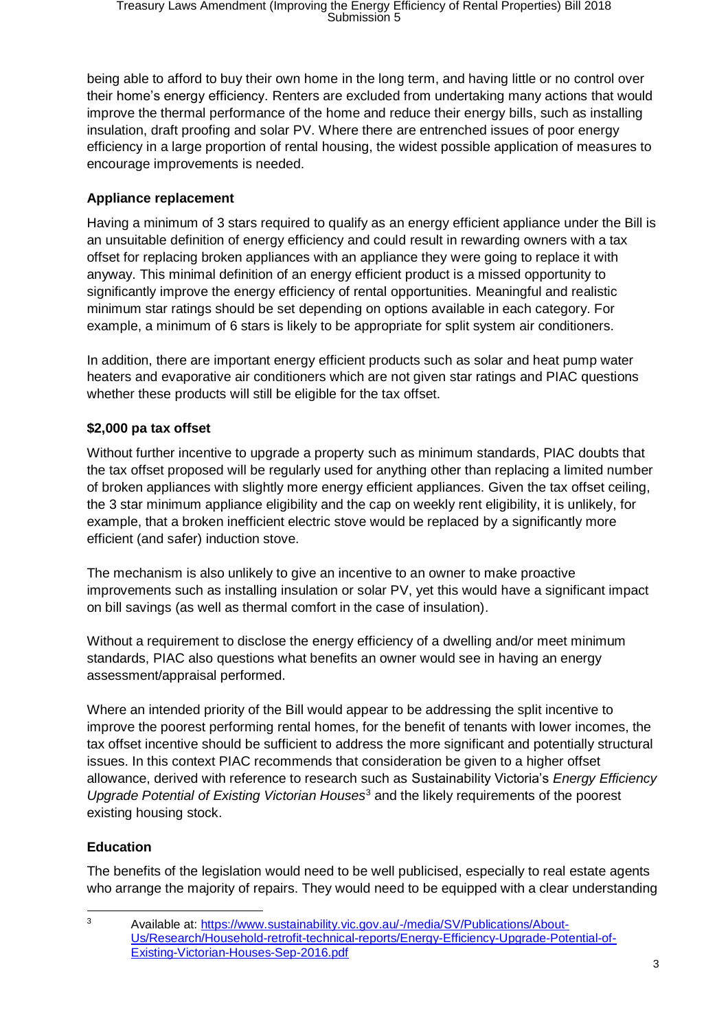being able to afford to buy their own home in the long term, and having little or no control over their home's energy efficiency. Renters are excluded from undertaking many actions that would improve the thermal performance of the home and reduce their energy bills, such as installing insulation, draft proofing and solar PV. Where there are entrenched issues of poor energy efficiency in a large proportion of rental housing, the widest possible application of measures to encourage improvements is needed.

# **Appliance replacement**

Having a minimum of 3 stars required to qualify as an energy efficient appliance under the Bill is an unsuitable definition of energy efficiency and could result in rewarding owners with a tax offset for replacing broken appliances with an appliance they were going to replace it with anyway. This minimal definition of an energy efficient product is a missed opportunity to significantly improve the energy efficiency of rental opportunities. Meaningful and realistic minimum star ratings should be set depending on options available in each category. For example, a minimum of 6 stars is likely to be appropriate for split system air conditioners.

In addition, there are important energy efficient products such as solar and heat pump water heaters and evaporative air conditioners which are not given star ratings and PIAC questions whether these products will still be eligible for the tax offset.

# **\$2,000 pa tax offset**

Without further incentive to upgrade a property such as minimum standards, PIAC doubts that the tax offset proposed will be regularly used for anything other than replacing a limited number of broken appliances with slightly more energy efficient appliances. Given the tax offset ceiling, the 3 star minimum appliance eligibility and the cap on weekly rent eligibility, it is unlikely, for example, that a broken inefficient electric stove would be replaced by a significantly more efficient (and safer) induction stove.

The mechanism is also unlikely to give an incentive to an owner to make proactive improvements such as installing insulation or solar PV, yet this would have a significant impact on bill savings (as well as thermal comfort in the case of insulation).

Without a requirement to disclose the energy efficiency of a dwelling and/or meet minimum standards, PIAC also questions what benefits an owner would see in having an energy assessment/appraisal performed.

Where an intended priority of the Bill would appear to be addressing the split incentive to improve the poorest performing rental homes, for the benefit of tenants with lower incomes, the tax offset incentive should be sufficient to address the more significant and potentially structural issues. In this context PIAC recommends that consideration be given to a higher offset allowance, derived with reference to research such as Sustainability Victoria's *Energy Efficiency Upgrade Potential of Existing Victorian Houses*<sup>3</sup> and the likely requirements of the poorest existing housing stock.

## **Education**

The benefits of the legislation would need to be well publicised, especially to real estate agents who arrange the majority of repairs. They would need to be equipped with a clear understanding

 $\overline{3}$ <sup>3</sup> Available at: [https://www.sustainability.vic.gov.au/-/media/SV/Publications/About-](https://www.sustainability.vic.gov.au/-/media/SV/Publications/About-Us/Research/Household-retrofit-technical-reports/Energy-Efficiency-Upgrade-Potential-of-Existing-Victorian-Houses-Sep-2016.pdf)[Us/Research/Household-retrofit-technical-reports/Energy-Efficiency-Upgrade-Potential-of-](https://www.sustainability.vic.gov.au/-/media/SV/Publications/About-Us/Research/Household-retrofit-technical-reports/Energy-Efficiency-Upgrade-Potential-of-Existing-Victorian-Houses-Sep-2016.pdf)[Existing-Victorian-Houses-Sep-2016.pdf](https://www.sustainability.vic.gov.au/-/media/SV/Publications/About-Us/Research/Household-retrofit-technical-reports/Energy-Efficiency-Upgrade-Potential-of-Existing-Victorian-Houses-Sep-2016.pdf)